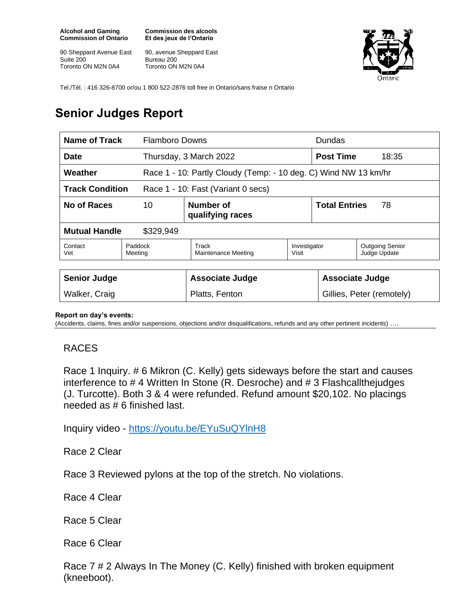**Alcohol and Gaming Commission of Ontario**

90 Sheppard Avenue East Suite 200 Toronto ON M2N 0A4

**Commission des alcools Et des jeux de l'Ontario**

90, avenue Sheppard East Bureau 200 Toronto ON M2N 0A4



Tel./Tél. : 416 326-8700 or/ou 1 800 522-2876 toll free in Ontario/sans fraise n Ontario

## **Senior Judges Report**

| Name of Track<br><b>Flamboro Downs</b>                       |                    |                                                                 |                       | Dundas                     |                                        |
|--------------------------------------------------------------|--------------------|-----------------------------------------------------------------|-----------------------|----------------------------|----------------------------------------|
| <b>Date</b>                                                  |                    | Thursday, 3 March 2022                                          |                       | <b>Post Time</b>           | 18:35                                  |
| Weather                                                      |                    | Race 1 - 10: Partly Cloudy (Temp: - 10 deg. C) Wind NW 13 km/hr |                       |                            |                                        |
| <b>Track Condition</b><br>Race 1 - 10: Fast (Variant 0 secs) |                    |                                                                 |                       |                            |                                        |
| No of Races<br>10                                            |                    | Number of<br>qualifying races                                   |                       | <b>Total Entries</b><br>78 |                                        |
| <b>Mutual Handle</b><br>\$329,949                            |                    |                                                                 |                       |                            |                                        |
| Contact<br>Vet                                               | Paddock<br>Meeting | Track<br>Maintenance Meeting                                    | Investigator<br>Visit |                            | <b>Outgoing Senior</b><br>Judge Update |
|                                                              |                    |                                                                 |                       |                            |                                        |
| <b>Senior Judge</b>                                          |                    | <b>Associate Judge</b>                                          |                       | <b>Associate Judge</b>     |                                        |
| Walker, Craig                                                |                    | Platts, Fenton                                                  |                       | Gillies, Peter (remotely)  |                                        |

## **Report on day's events:**

(Accidents, claims, fines and/or suspensions, objections and/or disqualifications, refunds and any other pertinent incidents) ….

## RACES

Race 1 Inquiry. # 6 Mikron (C. Kelly) gets sideways before the start and causes interference to # 4 Written In Stone (R. Desroche) and # 3 Flashcallthejudges (J. Turcotte). Both 3 & 4 were refunded. Refund amount \$20,102. No placings needed as # 6 finished last.

Inquiry video - <https://youtu.be/EYuSuQYlnH8>

Race 2 Clear

Race 3 Reviewed pylons at the top of the stretch. No violations.

Race 4 Clear

Race 5 Clear

Race 6 Clear

Race 7 # 2 Always In The Money (C. Kelly) finished with broken equipment (kneeboot).